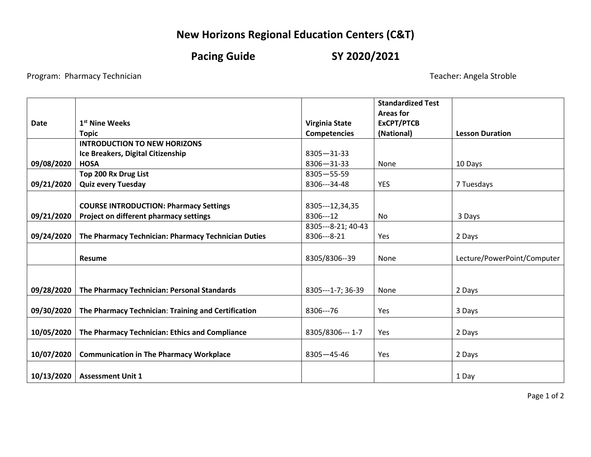# **New Horizons Regional Education Centers (C&T)**

**Pacing Guide SY 2020/2021**

Program: Pharmacy Technician and the stroble of the stroble of the stroble of the Teacher: Angela Stroble of the Teacher: Angela Stroble

|             |                                                     |                       | <b>Standardized Test</b> |                             |
|-------------|-----------------------------------------------------|-----------------------|--------------------------|-----------------------------|
|             |                                                     |                       | Areas for                |                             |
| <b>Date</b> | 1 <sup>st</sup> Nine Weeks                          | <b>Virginia State</b> | ExCPT/PTCB               |                             |
|             | <b>Topic</b>                                        | <b>Competencies</b>   | (National)               | <b>Lesson Duration</b>      |
|             | <b>INTRODUCTION TO NEW HORIZONS</b>                 |                       |                          |                             |
|             | Ice Breakers, Digital Citizenship                   | $8305 - 31 - 33$      |                          |                             |
| 09/08/2020  | <b>HOSA</b>                                         | 8306-31-33            | None                     | 10 Days                     |
|             | Top 200 Rx Drug List                                | $8305 - 55 - 59$      |                          |                             |
| 09/21/2020  | <b>Quiz every Tuesday</b>                           | 8306---34-48          | <b>YES</b>               | 7 Tuesdays                  |
|             |                                                     |                       |                          |                             |
|             | <b>COURSE INTRODUCTION: Pharmacy Settings</b>       | 8305---12,34,35       |                          |                             |
| 09/21/2020  | Project on different pharmacy settings              | 8306---12             | No                       | 3 Days                      |
|             |                                                     | 8305---8-21; 40-43    |                          |                             |
| 09/24/2020  | The Pharmacy Technician: Pharmacy Technician Duties | 8306---8-21           | Yes                      | 2 Days                      |
|             |                                                     |                       |                          |                             |
|             | <b>Resume</b>                                       | 8305/8306--39         | None                     | Lecture/PowerPoint/Computer |
|             |                                                     |                       |                          |                             |
| 09/28/2020  | The Pharmacy Technician: Personal Standards         | 8305---1-7; 36-39     | None                     | 2 Days                      |
|             |                                                     |                       |                          |                             |
| 09/30/2020  | The Pharmacy Technician: Training and Certification | 8306---76             | Yes                      | 3 Days                      |
|             |                                                     |                       |                          |                             |
| 10/05/2020  | The Pharmacy Technician: Ethics and Compliance      | 8305/8306--- 1-7      | Yes                      | 2 Days                      |
|             |                                                     |                       |                          |                             |
| 10/07/2020  | <b>Communication in The Pharmacy Workplace</b>      | $8305 - 45 - 46$      | Yes                      | 2 Days                      |
|             |                                                     |                       |                          |                             |
| 10/13/2020  | <b>Assessment Unit 1</b>                            |                       |                          | 1 Day                       |

Page 1 of 2